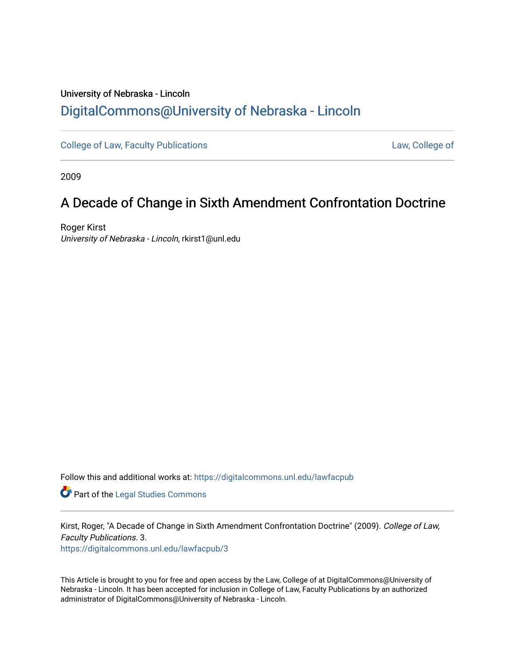### University of Nebraska - Lincoln [DigitalCommons@University of Nebraska - Lincoln](https://digitalcommons.unl.edu/)

[College of Law, Faculty Publications](https://digitalcommons.unl.edu/lawfacpub) **[Law, College of](https://digitalcommons.unl.edu/law) Law, College of** 

2009

### A Decade of Change in Sixth Amendment Confrontation Doctrine

Roger Kirst University of Nebraska - Lincoln, rkirst1@unl.edu

Follow this and additional works at: [https://digitalcommons.unl.edu/lawfacpub](https://digitalcommons.unl.edu/lawfacpub?utm_source=digitalcommons.unl.edu%2Flawfacpub%2F3&utm_medium=PDF&utm_campaign=PDFCoverPages) 

Part of the [Legal Studies Commons](http://network.bepress.com/hgg/discipline/366?utm_source=digitalcommons.unl.edu%2Flawfacpub%2F3&utm_medium=PDF&utm_campaign=PDFCoverPages) 

Kirst, Roger, "A Decade of Change in Sixth Amendment Confrontation Doctrine" (2009). College of Law, Faculty Publications. 3.

[https://digitalcommons.unl.edu/lawfacpub/3](https://digitalcommons.unl.edu/lawfacpub/3?utm_source=digitalcommons.unl.edu%2Flawfacpub%2F3&utm_medium=PDF&utm_campaign=PDFCoverPages) 

This Article is brought to you for free and open access by the Law, College of at DigitalCommons@University of Nebraska - Lincoln. It has been accepted for inclusion in College of Law, Faculty Publications by an authorized administrator of DigitalCommons@University of Nebraska - Lincoln.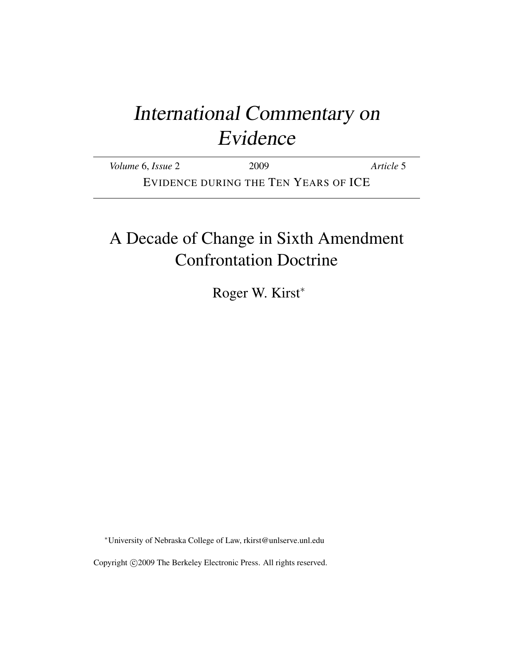# International Commentary on Evidence

*Volume* 6, *Issue* 2 2009 *Article* 5 EVIDENCE DURING THE TEN YEARS OF ICE

## A Decade of Change in Sixth Amendment Confrontation Doctrine

Roger W. Kirst<sup>∗</sup>

<sup>∗</sup>University of Nebraska College of Law, rkirst@unlserve.unl.edu

Copyright ©2009 The Berkeley Electronic Press. All rights reserved.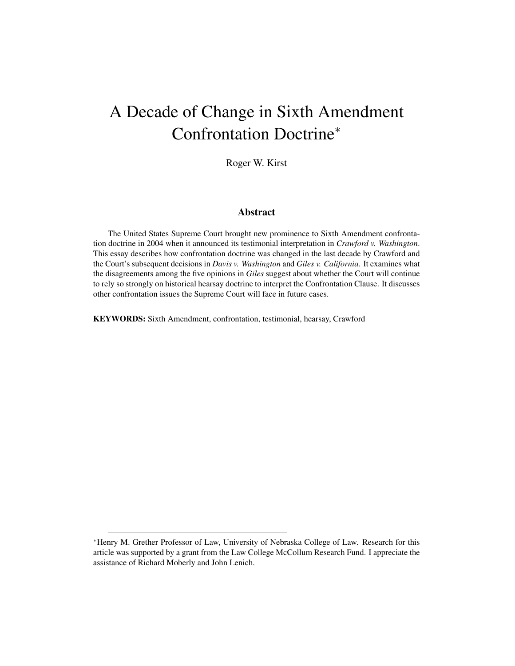## A Decade of Change in Sixth Amendment Confrontation Doctrine<sup>∗</sup>

Roger W. Kirst

#### Abstract

The United States Supreme Court brought new prominence to Sixth Amendment confrontation doctrine in 2004 when it announced its testimonial interpretation in *Crawford v. Washington*. This essay describes how confrontation doctrine was changed in the last decade by Crawford and the Court's subsequent decisions in *Davis v. Washington* and *Giles v. California*. It examines what the disagreements among the five opinions in *Giles* suggest about whether the Court will continue to rely so strongly on historical hearsay doctrine to interpret the Confrontation Clause. It discusses other confrontation issues the Supreme Court will face in future cases.

KEYWORDS: Sixth Amendment, confrontation, testimonial, hearsay, Crawford

<sup>∗</sup>Henry M. Grether Professor of Law, University of Nebraska College of Law. Research for this article was supported by a grant from the Law College McCollum Research Fund. I appreciate the assistance of Richard Moberly and John Lenich.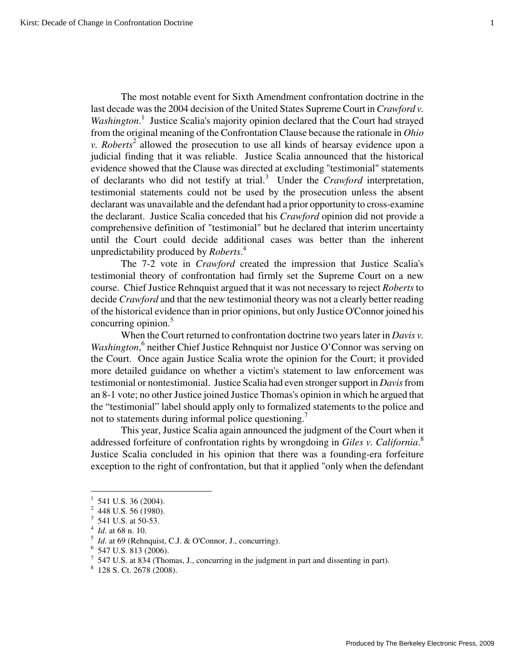The most notable event for Sixth Amendment confrontation doctrine in the last decade was the 2004 decision of the United States Supreme Court in *Crawford v.*  Washington.<sup>1</sup> Justice Scalia's majority opinion declared that the Court had strayed from the original meaning of the Confrontation Clause because the rationale in *Ohio v. Roberts*<sup>2</sup> allowed the prosecution to use all kinds of hearsay evidence upon a judicial finding that it was reliable. Justice Scalia announced that the historical evidence showed that the Clause was directed at excluding "testimonial" statements of declarants who did not testify at trial.<sup>3</sup> Under the *Crawford* interpretation, testimonial statements could not be used by the prosecution unless the absent declarant was unavailable and the defendant had a prior opportunity to cross-examine the declarant. Justice Scalia conceded that his *Crawford* opinion did not provide a comprehensive definition of "testimonial" but he declared that interim uncertainty until the Court could decide additional cases was better than the inherent unpredictability produced by *Roberts*. 4

The 7-2 vote in *Crawford* created the impression that Justice Scalia's testimonial theory of confrontation had firmly set the Supreme Court on a new course. Chief Justice Rehnquist argued that it was not necessary to reject *Roberts* to decide *Crawford* and that the new testimonial theory was not a clearly better reading of the historical evidence than in prior opinions, but only Justice O'Connor joined his concurring opinion.<sup>5</sup>

When the Court returned to confrontation doctrine two years later in *Davis v.*  Washington,<sup>6</sup> neither Chief Justice Rehnquist nor Justice O'Connor was serving on the Court. Once again Justice Scalia wrote the opinion for the Court; it provided more detailed guidance on whether a victim's statement to law enforcement was testimonial or nontestimonial. Justice Scalia had even stronger support in *Davis* from an 8-1 vote; no other Justice joined Justice Thomas's opinion in which he argued that the "testimonial" label should apply only to formalized statements to the police and not to statements during informal police questioning.<sup>7</sup>

This year, Justice Scalia again announced the judgment of the Court when it addressed forfeiture of confrontation rights by wrongdoing in *Giles v. California*. 8 Justice Scalia concluded in his opinion that there was a founding-era forfeiture exception to the right of confrontation, but that it applied "only when the defendant

<sup>1</sup> 541 U.S. 36 (2004).

 $2$  448 U.S. 56 (1980).

 $3\,$  541 U.S. at 50-53.

<sup>4</sup>  *Id*. at 68 n. 10.

 $<sup>5</sup>$  *Id.* at 69 (Rehnquist, C.J. & O'Connor, J., concurring).</sup>

<sup>6</sup> 547 U.S. 813 (2006).

 $7\,$  547 U.S. at 834 (Thomas, J., concurring in the judgment in part and dissenting in part).

 $8\,$  128 S. Ct. 2678 (2008).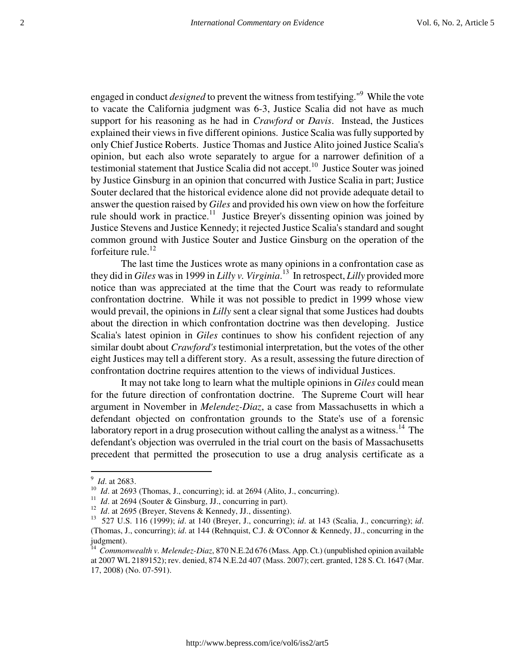engaged in conduct *designed* to prevent the witness from testifying."<sup>9</sup> While the vote to vacate the California judgment was 6-3, Justice Scalia did not have as much support for his reasoning as he had in *Crawford* or *Davis*. Instead, the Justices explained their views in five different opinions. Justice Scalia was fully supported by only Chief Justice Roberts. Justice Thomas and Justice Alito joined Justice Scalia's opinion, but each also wrote separately to argue for a narrower definition of a testimonial statement that Justice Scalia did not accept.<sup>10</sup> Justice Souter was joined by Justice Ginsburg in an opinion that concurred with Justice Scalia in part; Justice Souter declared that the historical evidence alone did not provide adequate detail to answer the question raised by *Giles* and provided his own view on how the forfeiture rule should work in practice.<sup>11</sup> Justice Breyer's dissenting opinion was joined by Justice Stevens and Justice Kennedy; it rejected Justice Scalia's standard and sought common ground with Justice Souter and Justice Ginsburg on the operation of the forfeiture rule. $^{12}$ 

The last time the Justices wrote as many opinions in a confrontation case as they did in *Giles* was in 1999 in *Lilly v. Virginia*. <sup>13</sup> In retrospect, *Lilly* provided more notice than was appreciated at the time that the Court was ready to reformulate confrontation doctrine. While it was not possible to predict in 1999 whose view would prevail, the opinions in *Lilly* sent a clear signal that some Justices had doubts about the direction in which confrontation doctrine was then developing. Justice Scalia's latest opinion in *Giles* continues to show his confident rejection of any similar doubt about *Crawford's* testimonial interpretation, but the votes of the other eight Justices may tell a different story. As a result, assessing the future direction of confrontation doctrine requires attention to the views of individual Justices.

It may not take long to learn what the multiple opinions in *Giles* could mean for the future direction of confrontation doctrine. The Supreme Court will hear argument in November in *Melendez-Diaz*, a case from Massachusetts in which a defendant objected on confrontation grounds to the State's use of a forensic laboratory report in a drug prosecution without calling the analyst as a witness.<sup>14</sup> The defendant's objection was overruled in the trial court on the basis of Massachusetts precedent that permitted the prosecution to use a drug analysis certificate as a

<sup>9</sup> *Id*. at 2683.

<sup>&</sup>lt;sup>10</sup> *Id.* at 2693 (Thomas, J., concurring); id. at 2694 (Alito, J., concurring).

<sup>&</sup>lt;sup>11</sup> *Id.* at 2694 (Souter & Ginsburg, JJ., concurring in part).

<sup>&</sup>lt;sup>12</sup> *Id.* at 2695 (Breyer, Stevens & Kennedy, JJ., dissenting).

<sup>13</sup> 527 U.S. 116 (1999); *id*. at 140 (Breyer, J., concurring); *id*. at 143 (Scalia, J., concurring); *id*. (Thomas, J., concurring); *id*. at 144 (Rehnquist, C.J. & O'Connor & Kennedy, JJ., concurring in the judgment).

<sup>14</sup> *Commonwealth v. Melendez-Diaz*, 870 N.E.2d 676 (Mass. App. Ct.) (unpublished opinion available at 2007 WL 2189152); rev. denied, 874 N.E.2d 407 (Mass. 2007); cert. granted, 128 S. Ct. 1647 (Mar. 17, 2008) (No. 07-591).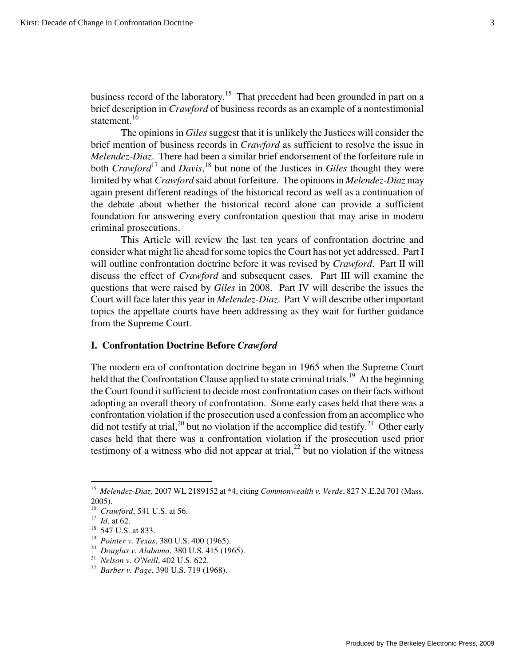business record of the laboratory.<sup>15</sup> That precedent had been grounded in part on a brief description in *Crawford* of business records as an example of a nontestimonial statement. $^{16}$ 

The opinions in *Giles* suggest that it is unlikely the Justices will consider the brief mention of business records in *Crawford* as sufficient to resolve the issue in *Melendez-Diaz*. There had been a similar brief endorsement of the forfeiture rule in both *Crawford*<sup>17</sup> and *Davis*,<sup>18</sup> but none of the Justices in *Giles* thought they were limited by what *Crawford* said about forfeiture. The opinions in *Melendez-Diaz* may again present different readings of the historical record as well as a continuation of the debate about whether the historical record alone can provide a sufficient foundation for answering every confrontation question that may arise in modern criminal prosecutions.

This Article will review the last ten years of confrontation doctrine and consider what might lie ahead for some topics the Court has not yet addressed. Part I will outline confrontation doctrine before it was revised by *Crawford*. Part II will discuss the effect of *Crawford* and subsequent cases. Part III will examine the questions that were raised by *Giles* in 2008. Part IV will describe the issues the Court will face later this year in *Melendez-Diaz*. Part V will describe other important topics the appellate courts have been addressing as they wait for further guidance from the Supreme Court.

#### **I. Confrontation Doctrine Before** *Crawford*

The modern era of confrontation doctrine began in 1965 when the Supreme Court held that the Confrontation Clause applied to state criminal trials.<sup>19</sup> At the beginning the Court found it sufficient to decide most confrontation cases on their facts without adopting an overall theory of confrontation. Some early cases held that there was a confrontation violation if the prosecution used a confession from an accomplice who did not testify at trial,<sup>20</sup> but no violation if the accomplice did testify.<sup>21</sup> Other early cases held that there was a confrontation violation if the prosecution used prior testimony of a witness who did not appear at trial,  $^{22}$  but no violation if the witness

 15 *Melendez-Diaz*, 2007 WL 2189152 at \*4, citing *Commonwealth v. Verde*, 827 N.E.2d 701 (Mass. 2005).

<sup>16</sup> *Crawford*, 541 U.S. at 56.

<sup>17</sup> *Id*. at 62.

<sup>18</sup> 547 U.S. at 833.

<sup>19</sup> *Pointer v. Texas*, 380 U.S. 400 (1965).

<sup>20</sup> *Douglas v. Alabama*, 380 U.S. 415 (1965).

<sup>21</sup> *Nelson v. O'Neill*, 402 U.S. 622.

<sup>22</sup> *Barber v. Page*, 390 U.S. 719 (1968).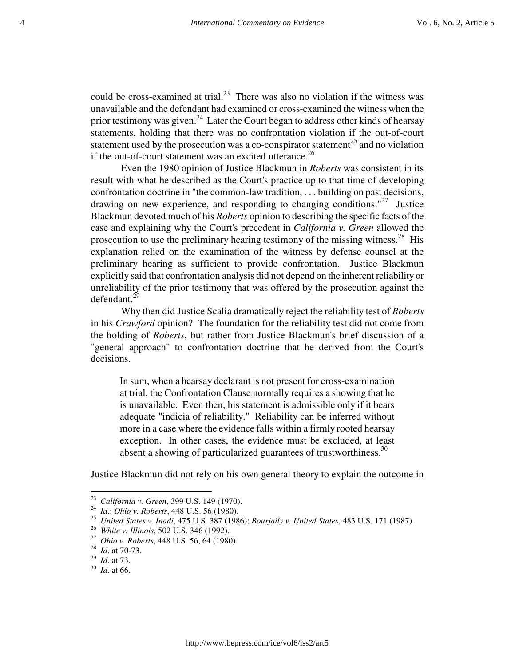could be cross-examined at trial.<sup>23</sup> There was also no violation if the witness was unavailable and the defendant had examined or cross-examined the witness when the prior testimony was given.<sup>24</sup> Later the Court began to address other kinds of hearsay statements, holding that there was no confrontation violation if the out-of-court statement used by the prosecution was a co-conspirator statement<sup>25</sup> and no violation if the out-of-court statement was an excited utterance.<sup>26</sup>

Even the 1980 opinion of Justice Blackmun in *Roberts* was consistent in its result with what he described as the Court's practice up to that time of developing confrontation doctrine in "the common-law tradition, . . . building on past decisions, drawing on new experience, and responding to changing conditions."<sup>27</sup> Justice Blackmun devoted much of his *Roberts* opinion to describing the specific facts of the case and explaining why the Court's precedent in *California v. Green* allowed the prosecution to use the preliminary hearing testimony of the missing witness.<sup>28</sup> His explanation relied on the examination of the witness by defense counsel at the preliminary hearing as sufficient to provide confrontation. Justice Blackmun explicitly said that confrontation analysis did not depend on the inherent reliability or unreliability of the prior testimony that was offered by the prosecution against the defendant.<sup>29</sup>

Why then did Justice Scalia dramatically reject the reliability test of *Roberts* in his *Crawford* opinion? The foundation for the reliability test did not come from the holding of *Roberts*, but rather from Justice Blackmun's brief discussion of a "general approach" to confrontation doctrine that he derived from the Court's decisions.

In sum, when a hearsay declarant is not present for cross-examination at trial, the Confrontation Clause normally requires a showing that he is unavailable. Even then, his statement is admissible only if it bears adequate "indicia of reliability." Reliability can be inferred without more in a case where the evidence falls within a firmly rooted hearsay exception. In other cases, the evidence must be excluded, at least absent a showing of particularized guarantees of trustworthiness.<sup>30</sup>

Justice Blackmun did not rely on his own general theory to explain the outcome in

 23 *California v. Green*, 399 U.S. 149 (1970).

<sup>24</sup> *Id*.; *Ohio v. Roberts*, 448 U.S. 56 (1980).

<sup>25</sup> *United States v. Inadi*, 475 U.S. 387 (1986); *Bourjaily v. United States*, 483 U.S. 171 (1987).

<sup>26</sup> *White v. Illinois*, 502 U.S. 346 (1992).

<sup>27</sup> *Ohio v. Roberts*, 448 U.S. 56, 64 (1980).

<sup>28</sup> *Id*. at 70-73.

<sup>29</sup> *Id*. at 73.

<sup>30</sup> *Id*. at 66.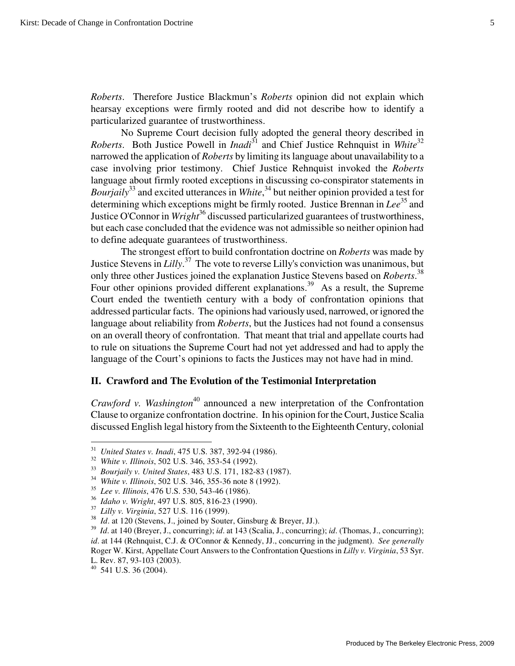*Roberts*. Therefore Justice Blackmun's *Roberts* opinion did not explain which hearsay exceptions were firmly rooted and did not describe how to identify a particularized guarantee of trustworthiness.

No Supreme Court decision fully adopted the general theory described in *Roberts.* Both Justice Powell in *Inadi*<sup>31</sup> and Chief Justice Rehnquist in *White*<sup>32</sup> narrowed the application of *Roberts* by limiting its language about unavailability to a case involving prior testimony. Chief Justice Rehnquist invoked the *Roberts* language about firmly rooted exceptions in discussing co-conspirator statements in *Bourjaily*<sup>33</sup> and excited utterances in *White*, <sup>34</sup> but neither opinion provided a test for determining which exceptions might be firmly rooted. Justice Brennan in *Lee*<sup>35</sup> and Justice O'Connor in *Wright*<sup>36</sup> discussed particularized guarantees of trustworthiness, but each case concluded that the evidence was not admissible so neither opinion had to define adequate guarantees of trustworthiness.

The strongest effort to build confrontation doctrine on *Roberts* was made by Justice Stevens in *Lilly*. <sup>37</sup> The vote to reverse Lilly's conviction was unanimous, but only three other Justices joined the explanation Justice Stevens based on *Roberts*. 38 Four other opinions provided different explanations.<sup>39</sup> As a result, the Supreme Court ended the twentieth century with a body of confrontation opinions that addressed particular facts. The opinions had variously used, narrowed, or ignored the language about reliability from *Roberts*, but the Justices had not found a consensus on an overall theory of confrontation. That meant that trial and appellate courts had to rule on situations the Supreme Court had not yet addressed and had to apply the language of the Court's opinions to facts the Justices may not have had in mind.

#### **II. Crawford and The Evolution of the Testimonial Interpretation**

*Crawford v. Washington*<sup>40</sup> announced a new interpretation of the Confrontation Clause to organize confrontation doctrine. In his opinion for the Court, Justice Scalia discussed English legal history from the Sixteenth to the Eighteenth Century, colonial

-

<sup>31</sup> *United States v. Inadi*, 475 U.S. 387, 392-94 (1986).

<sup>32</sup> *White v. Illinois*, 502 U.S. 346, 353-54 (1992).

<sup>33</sup> *Bourjaily v. United States*, 483 U.S. 171, 182-83 (1987).

<sup>34</sup> *White v. Illinois*, 502 U.S. 346, 355-36 note 8 (1992).

<sup>35</sup> *Lee v. Illinois*, 476 U.S. 530, 543-46 (1986).

<sup>36</sup> *Idaho v. Wright*, 497 U.S. 805, 816-23 (1990).

<sup>37</sup> *Lilly v. Virginia*, 527 U.S. 116 (1999).

<sup>38</sup> *Id*. at 120 (Stevens, J., joined by Souter, Ginsburg & Breyer, JJ.).

<sup>39</sup> *Id*. at 140 (Breyer, J., concurring); *id*. at 143 (Scalia, J., concurring); *id*. (Thomas, J., concurring); *id*. at 144 (Rehnquist, C.J. & O'Connor & Kennedy, JJ., concurring in the judgment). *See generally*

Roger W. Kirst, Appellate Court Answers to the Confrontation Questions in *Lilly v. Virginia*, 53 Syr. L. Rev. 87, 93-103 (2003).

 $40$  541 U.S. 36 (2004).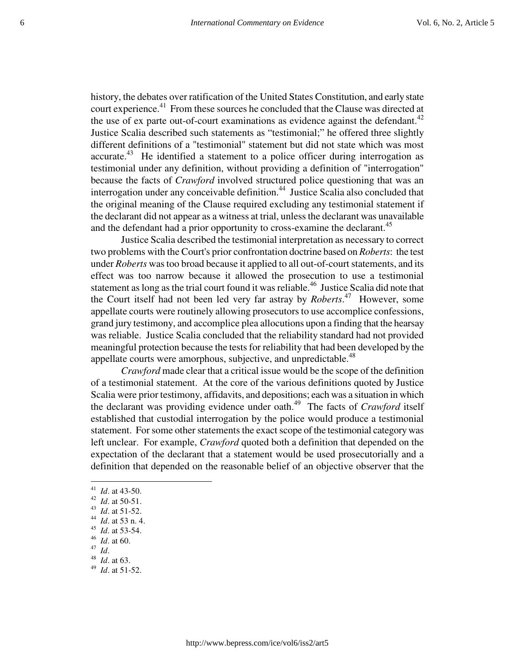history, the debates over ratification of the United States Constitution, and early state court experience.<sup>41</sup> From these sources he concluded that the Clause was directed at the use of ex parte out-of-court examinations as evidence against the defendant. $42$ Justice Scalia described such statements as "testimonial;" he offered three slightly different definitions of a "testimonial" statement but did not state which was most accurate.<sup>43</sup> He identified a statement to a police officer during interrogation as testimonial under any definition, without providing a definition of "interrogation" because the facts of *Crawford* involved structured police questioning that was an interrogation under any conceivable definition.<sup>44</sup> Justice Scalia also concluded that the original meaning of the Clause required excluding any testimonial statement if the declarant did not appear as a witness at trial, unless the declarant was unavailable and the defendant had a prior opportunity to cross-examine the declarant.<sup>45</sup>

Justice Scalia described the testimonial interpretation as necessary to correct two problems with the Court's prior confrontation doctrine based on *Roberts*: the test under *Roberts* was too broad because it applied to all out-of-court statements, and its effect was too narrow because it allowed the prosecution to use a testimonial statement as long as the trial court found it was reliable.<sup>46</sup> Justice Scalia did note that the Court itself had not been led very far astray by *Roberts*. <sup>47</sup> However, some appellate courts were routinely allowing prosecutors to use accomplice confessions, grand jury testimony, and accomplice plea allocutions upon a finding that the hearsay was reliable. Justice Scalia concluded that the reliability standard had not provided meaningful protection because the tests for reliability that had been developed by the appellate courts were amorphous, subjective, and unpredictable.<sup>48</sup>

*Crawford* made clear that a critical issue would be the scope of the definition of a testimonial statement. At the core of the various definitions quoted by Justice Scalia were prior testimony, affidavits, and depositions; each was a situation in which the declarant was providing evidence under oath.<sup>49</sup> The facts of *Crawford* itself established that custodial interrogation by the police would produce a testimonial statement. For some other statements the exact scope of the testimonial category was left unclear. For example, *Crawford* quoted both a definition that depended on the expectation of the declarant that a statement would be used prosecutorially and a definition that depended on the reasonable belief of an objective observer that the

- 46 *Id*. at 60.
- 47 *Id*.
- 48 *Id*. at 63.
- 49 *Id*. at 51-52.

 $\frac{41}{41}$  *Id.* at 43-50.

<sup>42</sup> *Id*. at 50-51.

<sup>43</sup> *Id*. at 51-52.

<sup>44</sup> *Id*. at 53 n. 4.

<sup>45</sup> *Id*. at 53-54.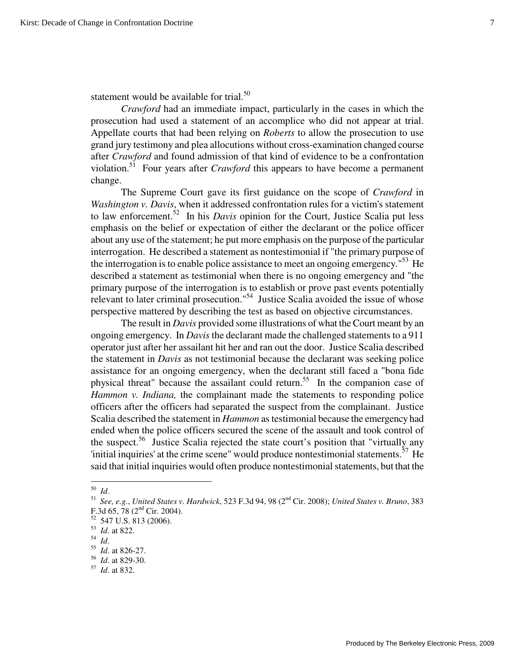statement would be available for trial.<sup>50</sup>

*Crawford* had an immediate impact, particularly in the cases in which the prosecution had used a statement of an accomplice who did not appear at trial. Appellate courts that had been relying on *Roberts* to allow the prosecution to use grand jury testimony and plea allocutions without cross-examination changed course after *Crawford* and found admission of that kind of evidence to be a confrontation violation.<sup>51</sup> Four years after *Crawford* this appears to have become a permanent change.

The Supreme Court gave its first guidance on the scope of *Crawford* in *Washington v. Davis*, when it addressed confrontation rules for a victim's statement to law enforcement.<sup>52</sup> In his *Davis* opinion for the Court, Justice Scalia put less emphasis on the belief or expectation of either the declarant or the police officer about any use of the statement; he put more emphasis on the purpose of the particular interrogation. He described a statement as nontestimonial if "the primary purpose of the interrogation is to enable police assistance to meet an ongoing emergency."<sup>53</sup> He described a statement as testimonial when there is no ongoing emergency and "the primary purpose of the interrogation is to establish or prove past events potentially relevant to later criminal prosecution."<sup>54</sup> Justice Scalia avoided the issue of whose perspective mattered by describing the test as based on objective circumstances.

The result in *Davis* provided some illustrations of what the Court meant by an ongoing emergency. In *Davis* the declarant made the challenged statements to a 911 operator just after her assailant hit her and ran out the door. Justice Scalia described the statement in *Davis* as not testimonial because the declarant was seeking police assistance for an ongoing emergency, when the declarant still faced a "bona fide physical threat" because the assailant could return.<sup>55</sup> In the companion case of *Hammon v. Indiana,* the complainant made the statements to responding police officers after the officers had separated the suspect from the complainant. Justice Scalia described the statement in *Hammon* as testimonial because the emergency had ended when the police officers secured the scene of the assault and took control of the suspect.<sup>56</sup> Justice Scalia rejected the state court's position that "virtually any 'initial inquiries' at the crime scene" would produce nontestimonial statements.<sup>57</sup> He said that initial inquiries would often produce nontestimonial statements, but that the

 50 *Id*.

<sup>&</sup>lt;sup>51</sup> See, e.g., United States v. Hardwick, 523 F.3d 94, 98 (2<sup>nd</sup> Cir. 2008); *United States v. Bruno*, 383 F.3d 65, 78 ( $2<sup>nd</sup>$  Cir. 2004).

<sup>52</sup> 547 U.S. 813 (2006).

<sup>53</sup> *Id*. at 822.

<sup>54</sup> *Id*.

<sup>55</sup> *Id*. at 826-27.

<sup>56</sup> *Id*. at 829-30.

<sup>57</sup> *Id*. at 832.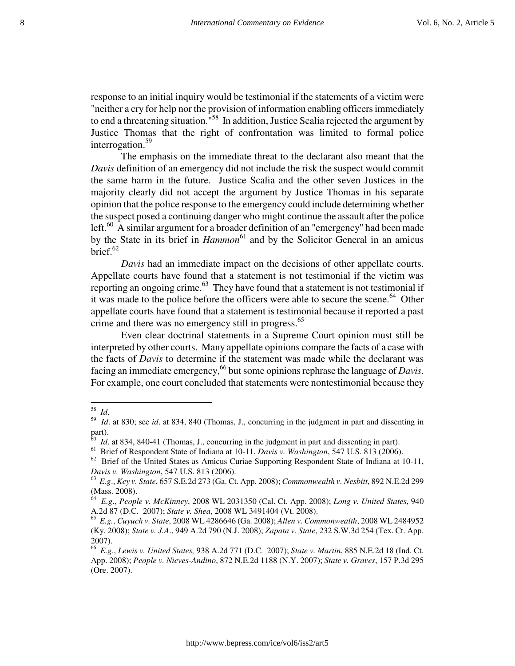response to an initial inquiry would be testimonial if the statements of a victim were "neither a cry for help nor the provision of information enabling officers immediately to end a threatening situation."<sup>58</sup> In addition, Justice Scalia rejected the argument by Justice Thomas that the right of confrontation was limited to formal police interrogation.<sup>59</sup>

The emphasis on the immediate threat to the declarant also meant that the *Davis* definition of an emergency did not include the risk the suspect would commit the same harm in the future. Justice Scalia and the other seven Justices in the majority clearly did not accept the argument by Justice Thomas in his separate opinion that the police response to the emergency could include determining whether the suspect posed a continuing danger who might continue the assault after the police left.<sup>60</sup> A similar argument for a broader definition of an "emergency" had been made by the State in its brief in *Hammon*<sup>61</sup> and by the Solicitor General in an amicus brief. $62$ 

*Davis* had an immediate impact on the decisions of other appellate courts. Appellate courts have found that a statement is not testimonial if the victim was reporting an ongoing crime.<sup>63</sup> They have found that a statement is not testimonial if it was made to the police before the officers were able to secure the scene.<sup>64</sup> Other appellate courts have found that a statement is testimonial because it reported a past crime and there was no emergency still in progress.<sup>65</sup>

Even clear doctrinal statements in a Supreme Court opinion must still be interpreted by other courts. Many appellate opinions compare the facts of a case with the facts of *Davis* to determine if the statement was made while the declarant was facing an immediate emergency, <sup>66</sup> but some opinions rephrase the language of *Davis*. For example, one court concluded that statements were nontestimonial because they

 58 *Id*.

<sup>59</sup> *Id*. at 830; see *id*. at 834, 840 (Thomas, J., concurring in the judgment in part and dissenting in part).

<sup>&</sup>lt;sup>60</sup> *Id*. at 834, 840-41 (Thomas, J., concurring in the judgment in part and dissenting in part).

<sup>61</sup> Brief of Respondent State of Indiana at 10-11, *Davis v. Washington*, 547 U.S. 813 (2006).

<sup>&</sup>lt;sup>62</sup> Brief of the United States as Amicus Curiae Supporting Respondent State of Indiana at 10-11, *Davis v. Washington*, 547 U.S. 813 (2006).

<sup>63</sup> *E.g*., *Key v. State*, 657 S.E.2d 273 (Ga. Ct. App. 2008); *Commonwealth v. Nesbitt*, 892 N.E.2d 299 (Mass. 2008).

<sup>64</sup> *E.g*., *People v. McKinney*, 2008 WL 2031350 (Cal. Ct. App. 2008); *Long v. United States*, 940 A.2d 87 (D.C. 2007); *State v. Shea*, 2008 WL 3491404 (Vt. 2008).

<sup>65</sup> *E.g.*, *Cuyuch v. State*, 2008 WL 4286646 (Ga. 2008); *Allen v. Commonwealth*, 2008 WL 2484952 (Ky. 2008); *State v. J.A*., 949 A.2d 790 (N.J. 2008); *Zapata v. State*, 232 S.W.3d 254 (Tex. Ct. App. 2007).

<sup>66</sup> *E.g*., *Lewis v. United States,* 938 A.2d 771 (D.C. 2007); *State v. Martin*, 885 N.E.2d 18 (Ind. Ct. App. 2008); *People v. Nieves-Andino*, 872 N.E.2d 1188 (N.Y. 2007); *State v. Graves*, 157 P.3d 295 (Ore. 2007).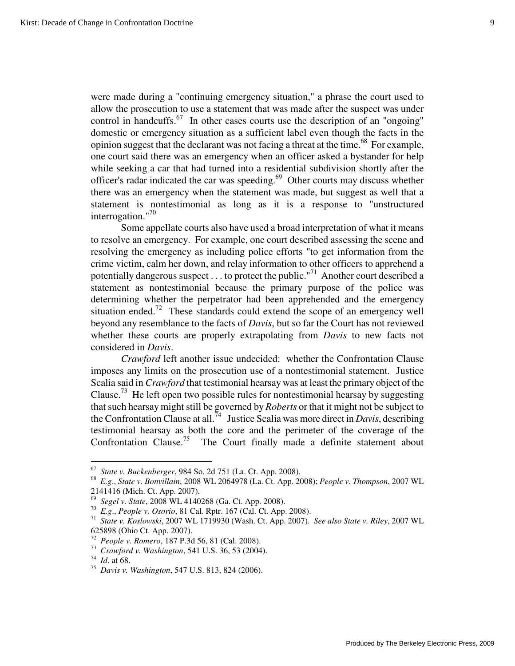were made during a "continuing emergency situation," a phrase the court used to allow the prosecution to use a statement that was made after the suspect was under control in handcuffs.<sup>67</sup> In other cases courts use the description of an "ongoing" domestic or emergency situation as a sufficient label even though the facts in the opinion suggest that the declarant was not facing a threat at the time.<sup>68</sup> For example, one court said there was an emergency when an officer asked a bystander for help while seeking a car that had turned into a residential subdivision shortly after the officer's radar indicated the car was speeding.<sup>69</sup> Other courts may discuss whether there was an emergency when the statement was made, but suggest as well that a statement is nontestimonial as long as it is a response to "unstructured interrogation."<sup>70</sup>

Some appellate courts also have used a broad interpretation of what it means to resolve an emergency. For example, one court described assessing the scene and resolving the emergency as including police efforts "to get information from the crime victim, calm her down, and relay information to other officers to apprehend a potentially dangerous suspect . . . to protect the public."<sup>71</sup> Another court described a statement as nontestimonial because the primary purpose of the police was determining whether the perpetrator had been apprehended and the emergency situation ended.<sup>72</sup> These standards could extend the scope of an emergency well beyond any resemblance to the facts of *Davis*, but so far the Court has not reviewed whether these courts are properly extrapolating from *Davis* to new facts not considered in *Davis*.

*Crawford* left another issue undecided: whether the Confrontation Clause imposes any limits on the prosecution use of a nontestimonial statement. Justice Scalia said in *Crawford* that testimonial hearsay was at least the primary object of the Clause.<sup>73</sup> He left open two possible rules for nontestimonial hearsay by suggesting that such hearsay might still be governed by *Roberts* or that it might not be subject to the Confrontation Clause at all.<sup>74</sup> Justice Scalia was more direct in *Davis*, describing testimonial hearsay as both the core and the perimeter of the coverage of the Confrontation Clause.<sup>75</sup> The Court finally made a definite statement about

-

<sup>67</sup> *State v. Buckenberger*, 984 So. 2d 751 (La. Ct. App. 2008).

<sup>68</sup> *E.g*., *State v. Bonvillain*, 2008 WL 2064978 (La. Ct. App. 2008); *People v. Thompson*, 2007 WL 2141416 (Mich. Ct. App. 2007).

<sup>69</sup> *Segel v. State*, 2008 WL 4140268 (Ga. Ct. App. 2008).

<sup>70</sup> *E.g*., *People v. Osorio*, 81 Cal. Rptr. 167 (Cal. Ct. App. 2008).

<sup>71</sup> *State v. Koslowski*, 2007 WL 1719930 (Wash. Ct. App. 2007)*. See also State v. Riley*, 2007 WL 625898 (Ohio Ct. App. 2007).

<sup>72</sup> *People v. Romero*, 187 P.3d 56, 81 (Cal. 2008).

<sup>73</sup> *Crawford v. Washington*, 541 U.S. 36, 53 (2004).

<sup>74</sup> *Id*. at 68.

<sup>75</sup> *Davis v. Washington*, 547 U.S. 813, 824 (2006).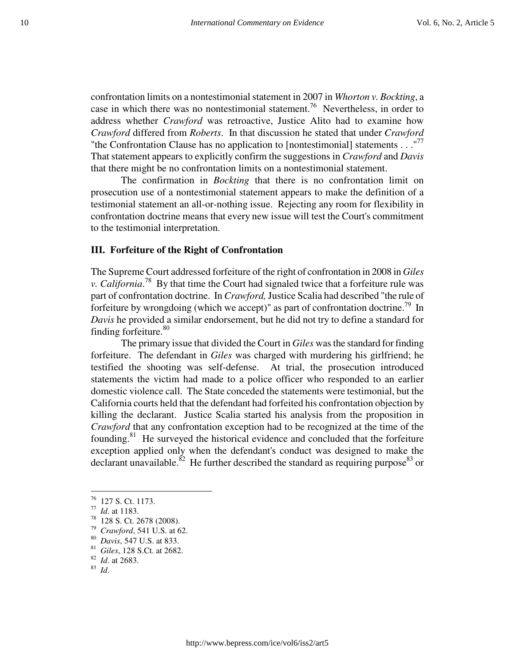confrontation limits on a nontestimonial statement in 2007 in *Whorton v. Bockting*, a case in which there was no nontestimonial statement.<sup>76</sup> Nevertheless, in order to address whether *Crawford* was retroactive, Justice Alito had to examine how *Crawford* differed from *Roberts*. In that discussion he stated that under *Crawford*  "the Confrontation Clause has no application to [nontestimonial] statements  $\dots$ "<sup>77</sup> That statement appears to explicitly confirm the suggestions in *Crawford* and *Davis* that there might be no confrontation limits on a nontestimonial statement.

The confirmation in *Bockting* that there is no confrontation limit on prosecution use of a nontestimonial statement appears to make the definition of a testimonial statement an all-or-nothing issue. Rejecting any room for flexibility in confrontation doctrine means that every new issue will test the Court's commitment to the testimonial interpretation.

#### **III. Forfeiture of the Right of Confrontation**

The Supreme Court addressed forfeiture of the right of confrontation in 2008 in *Giles v. California*. <sup>78</sup> By that time the Court had signaled twice that a forfeiture rule was part of confrontation doctrine. In *Crawford,* Justice Scalia had described "the rule of forfeiture by wrongdoing (which we accept)" as part of confrontation doctrine.<sup>79</sup> In *Davis* he provided a similar endorsement, but he did not try to define a standard for finding forfeiture.<sup>80</sup>

The primary issue that divided the Court in *Giles* was the standard for finding forfeiture. The defendant in *Giles* was charged with murdering his girlfriend; he testified the shooting was self-defense. At trial, the prosecution introduced statements the victim had made to a police officer who responded to an earlier domestic violence call. The State conceded the statements were testimonial, but the California courts held that the defendant had forfeited his confrontation objection by killing the declarant. Justice Scalia started his analysis from the proposition in *Crawford* that any confrontation exception had to be recognized at the time of the founding.<sup>81</sup> He surveyed the historical evidence and concluded that the forfeiture exception applied only when the defendant's conduct was designed to make the declarant unavailable.<sup>82</sup> He further described the standard as requiring purpose<sup>83</sup> or

<sup>76</sup> 127 S. Ct. 1173.

<sup>77</sup> *Id*. at 1183.

<sup>78</sup> 128 S. Ct. 2678 (2008).

<sup>79</sup> *Crawford*, 541 U.S. at 62.

<sup>80</sup> *Davis*, 547 U.S. at 833.

<sup>81</sup> *Giles*, 128 S.Ct. at 2682.

<sup>82</sup> *Id*. at 2683.

<sup>83</sup> *Id*.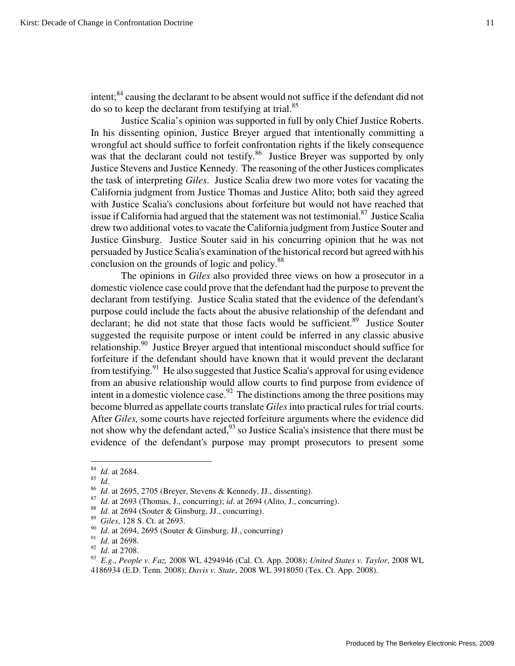intent:<sup>84</sup> causing the declarant to be absent would not suffice if the defendant did not do so to keep the declarant from testifying at trial.<sup>85</sup>

Justice Scalia's opinion was supported in full by only Chief Justice Roberts. In his dissenting opinion, Justice Breyer argued that intentionally committing a wrongful act should suffice to forfeit confrontation rights if the likely consequence was that the declarant could not testify. $86$  Justice Breyer was supported by only Justice Stevens and Justice Kennedy. The reasoning of the other Justices complicates the task of interpreting *Giles*. Justice Scalia drew two more votes for vacating the California judgment from Justice Thomas and Justice Alito; both said they agreed with Justice Scalia's conclusions about forfeiture but would not have reached that issue if California had argued that the statement was not testimonial.<sup>87</sup> Justice Scalia drew two additional votes to vacate the California judgment from Justice Souter and Justice Ginsburg. Justice Souter said in his concurring opinion that he was not persuaded by Justice Scalia's examination of the historical record but agreed with his conclusion on the grounds of logic and policy.<sup>88</sup>

The opinions in *Giles* also provided three views on how a prosecutor in a domestic violence case could prove that the defendant had the purpose to prevent the declarant from testifying. Justice Scalia stated that the evidence of the defendant's purpose could include the facts about the abusive relationship of the defendant and declarant; he did not state that those facts would be sufficient.<sup>89</sup> Justice Souter suggested the requisite purpose or intent could be inferred in any classic abusive relationship.<sup>90</sup> Justice Breyer argued that intentional misconduct should suffice for forfeiture if the defendant should have known that it would prevent the declarant from testifying.<sup>91</sup> He also suggested that Justice Scalia's approval for using evidence from an abusive relationship would allow courts to find purpose from evidence of intent in a domestic violence case.  $92$  The distinctions among the three positions may become blurred as appellate courts translate *Giles* into practical rules for trial courts. After *Giles,* some courts have rejected forfeiture arguments where the evidence did not show why the defendant acted,<sup>93</sup> so Justice Scalia's insistence that there must be evidence of the defendant's purpose may prompt prosecutors to present some

 $\frac{1}{84}$  *Id.* at 2684.

<sup>85</sup> *Id*.

<sup>86</sup> *Id*. at 2695, 2705 (Breyer, Stevens & Kennedy, JJ., dissenting).

<sup>87</sup> *Id*. at 2693 (Thomas, J., concurring); *id*. at 2694 (Alito, J., concurring).

<sup>88</sup> *Id*. at 2694 (Souter & Ginsburg, JJ., concurring).

<sup>89</sup> *Giles*, 128 S. Ct. at 2693.

<sup>90</sup> *Id*. at 2694, 2695 (Souter & Ginsburg, JJ., concurring)

<sup>91</sup> *Id*. at 2698.

<sup>92</sup> *Id*. at 2708.

<sup>93</sup> *E.g*., *People v. Faz,* 2008 WL 4294946 (Cal. Ct. App. 2008); *United States v. Taylor*, 2008 WL

<sup>4186934 (</sup>E.D. Tenn. 2008); *Davis v. State*, 2008 WL 3918050 (Tex. Ct. App. 2008).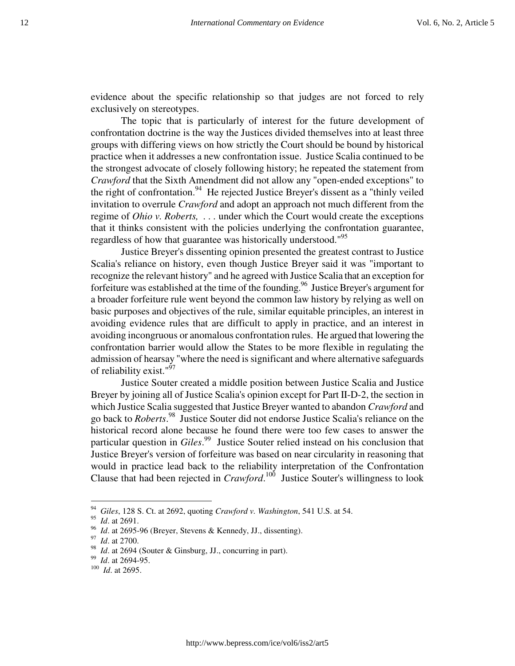evidence about the specific relationship so that judges are not forced to rely exclusively on stereotypes.

The topic that is particularly of interest for the future development of confrontation doctrine is the way the Justices divided themselves into at least three groups with differing views on how strictly the Court should be bound by historical practice when it addresses a new confrontation issue. Justice Scalia continued to be the strongest advocate of closely following history; he repeated the statement from *Crawford* that the Sixth Amendment did not allow any "open-ended exceptions" to the right of confrontation.  $94$  He rejected Justice Breyer's dissent as a "thinly veiled" invitation to overrule *Crawford* and adopt an approach not much different from the regime of *Ohio v. Roberts, . . .* under which the Court would create the exceptions that it thinks consistent with the policies underlying the confrontation guarantee, regardless of how that guarantee was historically understood."<sup>95</sup>

Justice Breyer's dissenting opinion presented the greatest contrast to Justice Scalia's reliance on history, even though Justice Breyer said it was "important to recognize the relevant history" and he agreed with Justice Scalia that an exception for forfeiture was established at the time of the founding.<sup>96</sup> Justice Breyer's argument for a broader forfeiture rule went beyond the common law history by relying as well on basic purposes and objectives of the rule, similar equitable principles, an interest in avoiding evidence rules that are difficult to apply in practice, and an interest in avoiding incongruous or anomalous confrontation rules. He argued that lowering the confrontation barrier would allow the States to be more flexible in regulating the admission of hearsay "where the need is significant and where alternative safeguards of reliability exist."<sup>97</sup>

Justice Souter created a middle position between Justice Scalia and Justice Breyer by joining all of Justice Scalia's opinion except for Part II-D-2, the section in which Justice Scalia suggested that Justice Breyer wanted to abandon *Crawford* and go back to *Roberts*. <sup>98</sup> Justice Souter did not endorse Justice Scalia's reliance on the historical record alone because he found there were too few cases to answer the particular question in *Giles*. <sup>99</sup> Justice Souter relied instead on his conclusion that Justice Breyer's version of forfeiture was based on near circularity in reasoning that would in practice lead back to the reliability interpretation of the Confrontation Clause that had been rejected in *Crawford*.<sup>100</sup> Justice Souter's willingness to look

 94 *Giles*, 128 S. Ct. at 2692, quoting *Crawford v. Washington*, 541 U.S. at 54.

<sup>95</sup> *Id*. at 2691.

<sup>96</sup> *Id*. at 2695-96 (Breyer, Stevens & Kennedy, JJ., dissenting).

<sup>97</sup> *Id*. at 2700.

<sup>98</sup> *Id*. at 2694 (Souter & Ginsburg, JJ., concurring in part).

<sup>99</sup> *Id*. at 2694-95.

<sup>100</sup> *Id*. at 2695.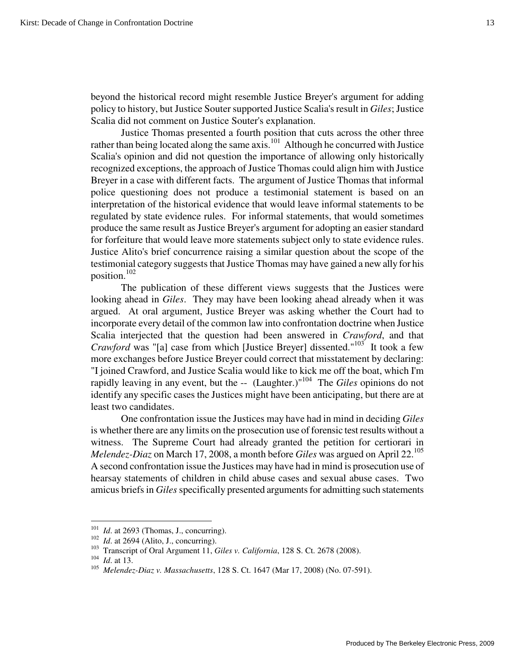beyond the historical record might resemble Justice Breyer's argument for adding policy to history, but Justice Souter supported Justice Scalia's result in *Giles*; Justice Scalia did not comment on Justice Souter's explanation.

Justice Thomas presented a fourth position that cuts across the other three rather than being located along the same axis.<sup>101</sup> Although he concurred with Justice Scalia's opinion and did not question the importance of allowing only historically recognized exceptions, the approach of Justice Thomas could align him with Justice Breyer in a case with different facts. The argument of Justice Thomas that informal police questioning does not produce a testimonial statement is based on an interpretation of the historical evidence that would leave informal statements to be regulated by state evidence rules. For informal statements, that would sometimes produce the same result as Justice Breyer's argument for adopting an easier standard for forfeiture that would leave more statements subject only to state evidence rules. Justice Alito's brief concurrence raising a similar question about the scope of the testimonial category suggests that Justice Thomas may have gained a new ally for his position.<sup>102</sup>

The publication of these different views suggests that the Justices were looking ahead in *Giles*. They may have been looking ahead already when it was argued. At oral argument, Justice Breyer was asking whether the Court had to incorporate every detail of the common law into confrontation doctrine when Justice Scalia interjected that the question had been answered in *Crawford*, and that *Crawford* was "[a] case from which [Justice Breyer] dissented."<sup>103</sup> It took a few more exchanges before Justice Breyer could correct that misstatement by declaring: "I joined Crawford, and Justice Scalia would like to kick me off the boat, which I'm rapidly leaving in any event, but the -- (Laughter.)"<sup>104</sup> The *Giles* opinions do not identify any specific cases the Justices might have been anticipating, but there are at least two candidates.

One confrontation issue the Justices may have had in mind in deciding *Giles* is whether there are any limits on the prosecution use of forensic test results without a witness. The Supreme Court had already granted the petition for certiorari in *Melendez-Diaz* on March 17, 2008, a month before *Giles* was argued on April 22.<sup>105</sup> A second confrontation issue the Justices may have had in mind is prosecution use of hearsay statements of children in child abuse cases and sexual abuse cases. Two amicus briefs in *Giles* specifically presented arguments for admitting such statements

<sup>&</sup>lt;sup>101</sup> *Id.* at 2693 (Thomas, J., concurring).

 $102$  *Id.* at 2694 (Alito, J., concurring).

<sup>103</sup> Transcript of Oral Argument 11, *Giles v. California*, 128 S. Ct. 2678 (2008).

<sup>104</sup> *Id*. at 13.

<sup>105</sup> *Melendez-Diaz v. Massachusetts*, 128 S. Ct. 1647 (Mar 17, 2008) (No. 07-591).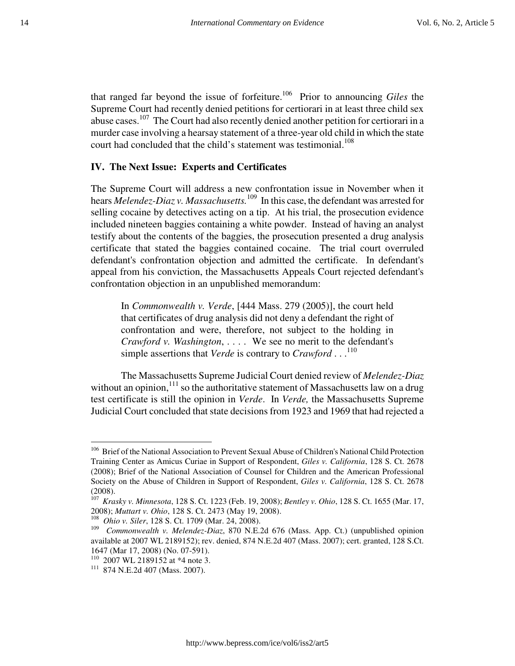that ranged far beyond the issue of forfeiture.<sup>106</sup> Prior to announcing *Giles* the Supreme Court had recently denied petitions for certiorari in at least three child sex abuse cases.<sup>107</sup> The Court had also recently denied another petition for certiorari in a murder case involving a hearsay statement of a three-year old child in which the state court had concluded that the child's statement was testimonial.<sup>108</sup>

#### **IV. The Next Issue: Experts and Certificates**

The Supreme Court will address a new confrontation issue in November when it hears *Melendez-Diaz v. Massachusetts.*<sup>109</sup> In this case, the defendant was arrested for selling cocaine by detectives acting on a tip. At his trial, the prosecution evidence included nineteen baggies containing a white powder. Instead of having an analyst testify about the contents of the baggies, the prosecution presented a drug analysis certificate that stated the baggies contained cocaine. The trial court overruled defendant's confrontation objection and admitted the certificate. In defendant's appeal from his conviction, the Massachusetts Appeals Court rejected defendant's confrontation objection in an unpublished memorandum:

In *Commonwealth v. Verde*, [444 Mass. 279 (2005)], the court held that certificates of drug analysis did not deny a defendant the right of confrontation and were, therefore, not subject to the holding in *Crawford v. Washington*, . . . . We see no merit to the defendant's simple assertions that *Verde* is contrary to *Crawford* . . . 110

The Massachusetts Supreme Judicial Court denied review of *Melendez-Diaz* without an opinion, $111$  so the authoritative statement of Massachusetts law on a drug test certificate is still the opinion in *Verde*. In *Verde,* the Massachusetts Supreme Judicial Court concluded that state decisions from 1923 and 1969 that had rejected a

<sup>&</sup>lt;sup>106</sup> Brief of the National Association to Prevent Sexual Abuse of Children's National Child Protection Training Center as Amicus Curiae in Support of Respondent, *Giles v. California*, 128 S. Ct. 2678 (2008); Brief of the National Association of Counsel for Children and the American Professional Society on the Abuse of Children in Support of Respondent, *Giles v. California*, 128 S. Ct. 2678 (2008).

<sup>107</sup> *Krasky v. Minnesota*, 128 S. Ct. 1223 (Feb. 19, 2008); *Bentley v. Ohio*, 128 S. Ct. 1655 (Mar. 17, 2008); *Muttart v. Ohio*, 128 S. Ct. 2473 (May 19, 2008).

<sup>108</sup> *Ohio v. Siler*, 128 S. Ct. 1709 (Mar. 24, 2008).

<sup>109</sup> *Commonwealth v. Melendez-Diaz*, 870 N.E.2d 676 (Mass. App. Ct.) (unpublished opinion available at 2007 WL 2189152); rev. denied, 874 N.E.2d 407 (Mass. 2007); cert. granted, 128 S.Ct. 1647 (Mar 17, 2008) (No. 07-591).

<sup>&</sup>lt;sup>110</sup> 2007 WL 2189152 at \*4 note 3.

 $111$  874 N.E.2d 407 (Mass. 2007).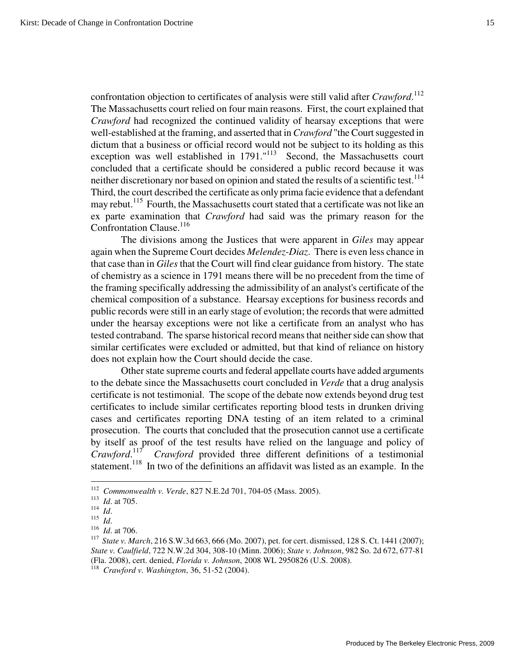confrontation objection to certificates of analysis were still valid after *Crawford*. 112 The Massachusetts court relied on four main reasons. First, the court explained that *Crawford* had recognized the continued validity of hearsay exceptions that were well-established at the framing, and asserted that in *Crawford* "the Court suggested in dictum that a business or official record would not be subject to its holding as this exception was well established in  $1791$ ."<sup>113</sup> Second, the Massachusetts court concluded that a certificate should be considered a public record because it was neither discretionary nor based on opinion and stated the results of a scientific test.<sup>114</sup> Third, the court described the certificate as only prima facie evidence that a defendant may rebut.<sup>115</sup> Fourth, the Massachusetts court stated that a certificate was not like an ex parte examination that *Crawford* had said was the primary reason for the Confrontation Clause.<sup>116</sup>

The divisions among the Justices that were apparent in *Giles* may appear again when the Supreme Court decides *Melendez-Diaz*. There is even less chance in that case than in *Giles* that the Court will find clear guidance from history. The state of chemistry as a science in 1791 means there will be no precedent from the time of the framing specifically addressing the admissibility of an analyst's certificate of the chemical composition of a substance. Hearsay exceptions for business records and public records were still in an early stage of evolution; the records that were admitted under the hearsay exceptions were not like a certificate from an analyst who has tested contraband. The sparse historical record means that neither side can show that similar certificates were excluded or admitted, but that kind of reliance on history does not explain how the Court should decide the case.

Other state supreme courts and federal appellate courts have added arguments to the debate since the Massachusetts court concluded in *Verde* that a drug analysis certificate is not testimonial. The scope of the debate now extends beyond drug test certificates to include similar certificates reporting blood tests in drunken driving cases and certificates reporting DNA testing of an item related to a criminal prosecution. The courts that concluded that the prosecution cannot use a certificate by itself as proof of the test results have relied on the language and policy of *Crawford*. 117 *Crawford* provided three different definitions of a testimonial statement.<sup>118</sup> In two of the definitions an affidavit was listed as an example. In the

 112 *Commonwealth v. Verde*, 827 N.E.2d 701, 704-05 (Mass. 2005).

<sup>113</sup> *Id*. at 705.

<sup>114</sup> *Id*.

<sup>115</sup> *Id*.

<sup>116</sup> *Id*. at 706.

<sup>117</sup> *State v. March*, 216 S.W.3d 663, 666 (Mo. 2007), pet. for cert. dismissed, 128 S. Ct. 1441 (2007); *State v. Caulfield*, 722 N.W.2d 304, 308-10 (Minn. 2006); *State v. Johnson*, 982 So. 2d 672, 677-81 (Fla. 2008), cert. denied, *Florida v. Johnson*, 2008 WL 2950826 (U.S. 2008).

<sup>118</sup> *Crawford v. Washington*, 36, 51-52 (2004).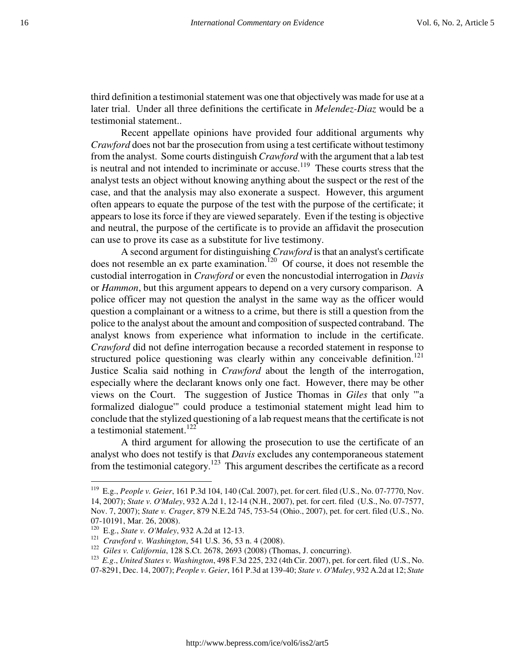third definition a testimonial statement was one that objectively was made for use at a later trial. Under all three definitions the certificate in *Melendez-Diaz* would be a testimonial statement..

Recent appellate opinions have provided four additional arguments why *Crawford* does not bar the prosecution from using a test certificate without testimony from the analyst. Some courts distinguish *Crawford* with the argument that a lab test is neutral and not intended to incriminate or accuse.<sup>119</sup> These courts stress that the analyst tests an object without knowing anything about the suspect or the rest of the case, and that the analysis may also exonerate a suspect. However, this argument often appears to equate the purpose of the test with the purpose of the certificate; it appears to lose its force if they are viewed separately. Even if the testing is objective and neutral, the purpose of the certificate is to provide an affidavit the prosecution can use to prove its case as a substitute for live testimony.

A second argument for distinguishing *Crawford* is that an analyst's certificate does not resemble an ex parte examination.<sup>120</sup> Of course, it does not resemble the custodial interrogation in *Crawford* or even the noncustodial interrogation in *Davis* or *Hammon*, but this argument appears to depend on a very cursory comparison. A police officer may not question the analyst in the same way as the officer would question a complainant or a witness to a crime, but there is still a question from the police to the analyst about the amount and composition of suspected contraband. The analyst knows from experience what information to include in the certificate. *Crawford* did not define interrogation because a recorded statement in response to structured police questioning was clearly within any conceivable definition.<sup>121</sup> Justice Scalia said nothing in *Crawford* about the length of the interrogation, especially where the declarant knows only one fact. However, there may be other views on the Court. The suggestion of Justice Thomas in *Giles* that only '"a formalized dialogue'" could produce a testimonial statement might lead him to conclude that the stylized questioning of a lab request means that the certificate is not a testimonial statement.<sup>122</sup>

A third argument for allowing the prosecution to use the certificate of an analyst who does not testify is that *Davis* excludes any contemporaneous statement from the testimonial category.<sup>123</sup> This argument describes the certificate as a record

<sup>119</sup> E.g., *People v. Geier*, 161 P.3d 104, 140 (Cal. 2007), pet. for cert. filed (U.S., No. 07-7770, Nov. 14, 2007); *State v. O'Maley*, 932 A.2d 1, 12-14 (N.H., 2007), pet. for cert. filed (U.S., No. 07-7577, Nov. 7, 2007); *State v. Crager*, 879 N.E.2d 745, 753-54 (Ohio., 2007), pet. for cert. filed (U.S., No. 07-10191, Mar. 26, 2008).

<sup>120</sup> E.g., *State v. O'Maley*, 932 A.2d at 12-13.

<sup>121</sup> *Crawford v. Washington*, 541 U.S. 36, 53 n. 4 (2008).

<sup>122</sup> *Giles v. California*, 128 S.Ct. 2678, 2693 (2008) (Thomas, J. concurring).

<sup>123</sup> *E.g*., *United States v. Washington*, 498 F.3d 225, 232 (4th Cir. 2007), pet. for cert. filed (U.S., No.

<sup>07-8291,</sup> Dec. 14, 2007); *People v. Geier*, 161 P.3d at 139-40; *State v. O'Maley*, 932 A.2d at 12; *State*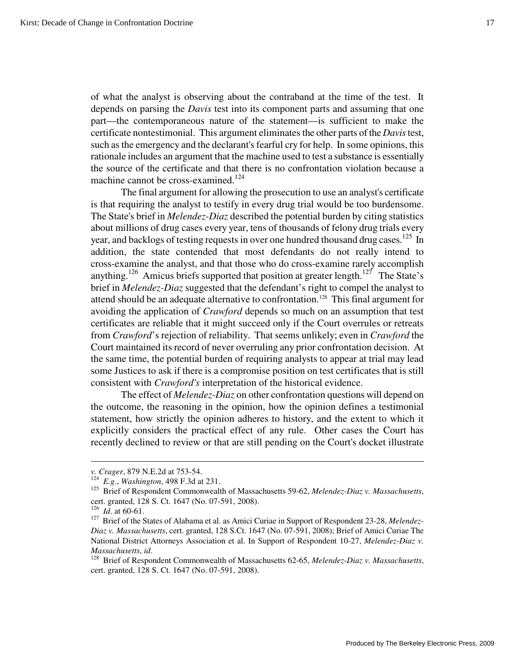of what the analyst is observing about the contraband at the time of the test. It depends on parsing the *Davis* test into its component parts and assuming that one part—the contemporaneous nature of the statement—is sufficient to make the certificate nontestimonial. This argument eliminates the other parts of the *Davis* test, such as the emergency and the declarant's fearful cry for help. In some opinions, this rationale includes an argument that the machine used to test a substance is essentially the source of the certificate and that there is no confrontation violation because a machine cannot be cross-examined.<sup>124</sup>

The final argument for allowing the prosecution to use an analyst's certificate is that requiring the analyst to testify in every drug trial would be too burdensome. The State's brief in *Melendez-Diaz* described the potential burden by citing statistics about millions of drug cases every year, tens of thousands of felony drug trials every year, and backlogs of testing requests in over one hundred thousand drug cases.<sup>125</sup> In addition, the state contended that most defendants do not really intend to cross-examine the analyst, and that those who do cross-examine rarely accomplish anything.<sup>126</sup> Amicus briefs supported that position at greater length.<sup>127</sup> The State's brief in *Melendez-Diaz* suggested that the defendant's right to compel the analyst to attend should be an adequate alternative to confrontation.<sup>128</sup> This final argument for avoiding the application of *Crawford* depends so much on an assumption that test certificates are reliable that it might succeed only if the Court overrules or retreats from *Crawford*'s rejection of reliability. That seems unlikely; even in *Crawford* the Court maintained its record of never overruling any prior confrontation decision. At the same time, the potential burden of requiring analysts to appear at trial may lead some Justices to ask if there is a compromise position on test certificates that is still consistent with *Crawford's* interpretation of the historical evidence.

The effect of *Melendez-Diaz* on other confrontation questions will depend on the outcome, the reasoning in the opinion, how the opinion defines a testimonial statement, how strictly the opinion adheres to history, and the extent to which it explicitly considers the practical effect of any rule. Other cases the Court has recently declined to review or that are still pending on the Court's docket illustrate

-

*v. Crager*, 879 N.E.2d at 753-54.

<sup>124</sup> *E.g*., *Washington*, 498 F.3d at 231.

<sup>125</sup> Brief of Respondent Commonwealth of Massachusetts 59-62, *Melendez-Diaz v. Massachusetts*, cert. granted, 128 S. Ct. 1647 (No. 07-591, 2008).

<sup>126</sup> *Id*. at 60-61.

<sup>127</sup> Brief of the States of Alabama et al. as Amici Curiae in Support of Respondent 23-28, *Melendez-Diaz v. Massachusetts*, cert. granted, 128 S.Ct. 1647 (No. 07-591, 2008); Brief of Amici Curiae The National District Attorneys Association et al. In Support of Respondent 10-27, *Melendez-Diaz v. Massachusetts*, *id*.

<sup>128</sup> Brief of Respondent Commonwealth of Massachusetts 62-65, *Melendez-Diaz v. Massachusetts*, cert. granted, 128 S. Ct. 1647 (No. 07-591, 2008).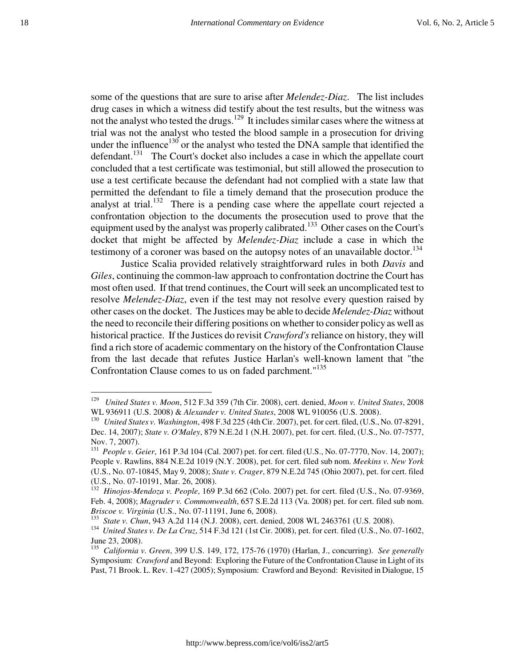some of the questions that are sure to arise after *Melendez-Diaz*. The list includes drug cases in which a witness did testify about the test results, but the witness was not the analyst who tested the drugs.<sup>129</sup> It includes similar cases where the witness at trial was not the analyst who tested the blood sample in a prosecution for driving under the influence $130$  or the analyst who tested the DNA sample that identified the defendant.<sup>131</sup> The Court's docket also includes a case in which the appellate court concluded that a test certificate was testimonial, but still allowed the prosecution to use a test certificate because the defendant had not complied with a state law that permitted the defendant to file a timely demand that the prosecution produce the analyst at trial.<sup>132</sup> There is a pending case where the appellate court rejected a confrontation objection to the documents the prosecution used to prove that the equipment used by the analyst was properly calibrated.<sup>133</sup> Other cases on the Court's docket that might be affected by *Melendez-Diaz* include a case in which the testimony of a coroner was based on the autopsy notes of an unavailable doctor.<sup>134</sup>

Justice Scalia provided relatively straightforward rules in both *Davis* and *Giles*, continuing the common-law approach to confrontation doctrine the Court has most often used. If that trend continues, the Court will seek an uncomplicated test to resolve *Melendez-Diaz*, even if the test may not resolve every question raised by other cases on the docket. The Justices may be able to decide *Melendez-Diaz* without the need to reconcile their differing positions on whether to consider policy as well as historical practice. If the Justices do revisit *Crawford's* reliance on history, they will find a rich store of academic commentary on the history of the Confrontation Clause from the last decade that refutes Justice Harlan's well-known lament that "the Confrontation Clause comes to us on faded parchment."<sup>135</sup>

 129 *United States v. Moon*, 512 F.3d 359 (7th Cir. 2008), cert. denied, *Moon v. United States*, 2008 WL 936911 (U.S. 2008) & *Alexander v. United States*, 2008 WL 910056 (U.S. 2008).

<sup>130</sup> *United States v. Washington*, 498 F.3d 225 (4th Cir. 2007), pet. for cert. filed, (U.S., No. 07-8291, Dec. 14, 2007); *State v. O'Maley*, 879 N.E.2d 1 (N.H. 2007), pet. for cert. filed, (U.S., No. 07-7577, Nov. 7, 2007).

<sup>131</sup> *People v. Geier*, 161 P.3d 104 (Cal. 2007) pet. for cert. filed (U.S., No. 07-7770, Nov. 14, 2007); People v. Rawlins, 884 N.E.2d 1019 (N.Y. 2008), pet. for cert. filed sub nom. *Meekins v. New York* (U.S., No. 07-10845, May 9, 2008); *State v. Crager*, 879 N.E.2d 745 (Ohio 2007), pet. for cert. filed (U.S., No. 07-10191, Mar. 26, 2008).

<sup>132</sup> *Hinojos-Mendoza v. People*, 169 P.3d 662 (Colo. 2007) pet. for cert. filed (U.S., No. 07-9369, Feb. 4, 2008); *Magruder v. Commonwealth*, 657 S.E.2d 113 (Va. 2008) pet. for cert. filed sub nom. *Briscoe v. Virginia* (U.S., No. 07-11191, June 6, 2008).

<sup>133</sup> *State v. Chun*, 943 A.2d 114 (N.J. 2008), cert. denied, 2008 WL 2463761 (U.S. 2008).

<sup>134</sup> *United States v. De La Cruz*, 514 F.3d 121 (1st Cir. 2008), pet. for cert. filed (U.S., No. 07-1602, June 23, 2008).

<sup>135</sup> *California v. Green*, 399 U.S. 149, 172, 175-76 (1970) (Harlan, J., concurring). *See generally* Symposium: *Crawford* and Beyond: Exploring the Future of the Confrontation Clause in Light of its Past, 71 Brook. L. Rev. 1-427 (2005); Symposium: Crawford and Beyond: Revisited in Dialogue, 15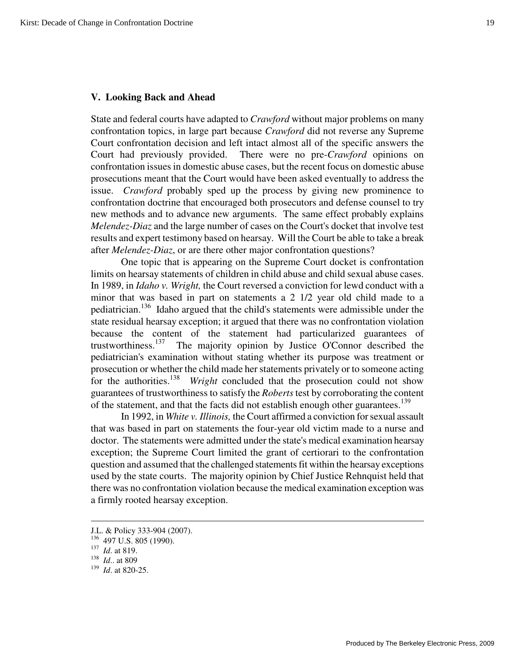#### **V. Looking Back and Ahead**

State and federal courts have adapted to *Crawford* without major problems on many confrontation topics, in large part because *Crawford* did not reverse any Supreme Court confrontation decision and left intact almost all of the specific answers the Court had previously provided. There were no pre-*Crawford* opinions on confrontation issues in domestic abuse cases, but the recent focus on domestic abuse prosecutions meant that the Court would have been asked eventually to address the issue. *Crawford* probably sped up the process by giving new prominence to confrontation doctrine that encouraged both prosecutors and defense counsel to try new methods and to advance new arguments. The same effect probably explains *Melendez-Diaz* and the large number of cases on the Court's docket that involve test results and expert testimony based on hearsay. Will the Court be able to take a break after *Melendez-Diaz*, or are there other major confrontation questions?

One topic that is appearing on the Supreme Court docket is confrontation limits on hearsay statements of children in child abuse and child sexual abuse cases. In 1989, in *Idaho v. Wright,* the Court reversed a conviction for lewd conduct with a minor that was based in part on statements a 2 1/2 year old child made to a pediatrician.<sup>136</sup> Idaho argued that the child's statements were admissible under the state residual hearsay exception; it argued that there was no confrontation violation because the content of the statement had particularized guarantees of trustworthiness.<sup>137</sup> The majority opinion by Justice O'Connor described the The majority opinion by Justice O'Connor described the pediatrician's examination without stating whether its purpose was treatment or prosecution or whether the child made her statements privately or to someone acting for the authorities.<sup>138</sup> Wright concluded that the prosecution could not show guarantees of trustworthiness to satisfy the *Roberts* test by corroborating the content of the statement, and that the facts did not establish enough other guarantees.<sup>139</sup>

In 1992, in *White v. Illinois,* the Court affirmed a conviction for sexual assault that was based in part on statements the four-year old victim made to a nurse and doctor. The statements were admitted under the state's medical examination hearsay exception; the Supreme Court limited the grant of certiorari to the confrontation question and assumed that the challenged statements fit within the hearsay exceptions used by the state courts. The majority opinion by Chief Justice Rehnquist held that there was no confrontation violation because the medical examination exception was a firmly rooted hearsay exception.

J.L. & Policy 333-904 (2007).

<sup>&</sup>lt;sup>136</sup> 497 U.S. 805 (1990).

<sup>137</sup> *Id*. at 819.

<sup>138</sup> *Id*.. at 809

<sup>139</sup> *Id*. at 820-25.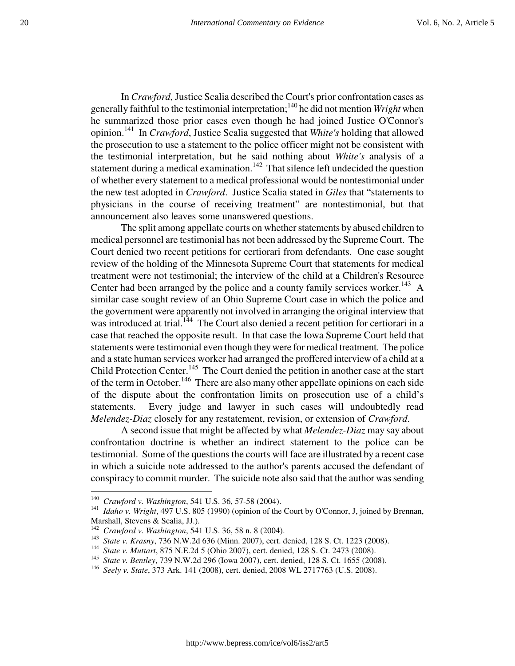In *Crawford,* Justice Scalia described the Court's prior confrontation cases as generally faithful to the testimonial interpretation;<sup>140</sup> he did not mention *Wright* when he summarized those prior cases even though he had joined Justice O'Connor's opinion.<sup>141</sup> In *Crawford*, Justice Scalia suggested that *White's* holding that allowed the prosecution to use a statement to the police officer might not be consistent with the testimonial interpretation, but he said nothing about *White's* analysis of a statement during a medical examination.<sup>142</sup> That silence left undecided the question of whether every statement to a medical professional would be nontestimonial under the new test adopted in *Crawford*. Justice Scalia stated in *Giles* that "statements to physicians in the course of receiving treatment" are nontestimonial, but that announcement also leaves some unanswered questions.

The split among appellate courts on whether statements by abused children to medical personnel are testimonial has not been addressed by the Supreme Court. The Court denied two recent petitions for certiorari from defendants. One case sought review of the holding of the Minnesota Supreme Court that statements for medical treatment were not testimonial; the interview of the child at a Children's Resource Center had been arranged by the police and a county family services worker.<sup>143</sup> A similar case sought review of an Ohio Supreme Court case in which the police and the government were apparently not involved in arranging the original interview that was introduced at trial.<sup>144</sup> The Court also denied a recent petition for certiorari in a case that reached the opposite result. In that case the Iowa Supreme Court held that statements were testimonial even though they were for medical treatment. The police and a state human services worker had arranged the proffered interview of a child at a Child Protection Center.<sup>145</sup> The Court denied the petition in another case at the start of the term in October.<sup>146</sup> There are also many other appellate opinions on each side of the dispute about the confrontation limits on prosecution use of a child's statements. Every judge and lawyer in such cases will undoubtedly read *Melendez-Diaz* closely for any restatement, revision, or extension of *Crawford*.

A second issue that might be affected by what *Melendez-Diaz* may say about confrontation doctrine is whether an indirect statement to the police can be testimonial. Some of the questions the courts will face are illustrated by a recent case in which a suicide note addressed to the author's parents accused the defendant of conspiracy to commit murder. The suicide note also said that the author was sending

 140 *Crawford v. Washington*, 541 U.S. 36, 57-58 (2004).

<sup>&</sup>lt;sup>141</sup> *Idaho v. Wright*, 497 U.S. 805 (1990) (opinion of the Court by O'Connor, J, joined by Brennan, Marshall, Stevens & Scalia, JJ.).

<sup>142</sup> *Crawford v. Washington*, 541 U.S. 36, 58 n. 8 (2004).

<sup>143</sup> *State v. Krasny*, 736 N.W.2d 636 (Minn. 2007), cert. denied, 128 S. Ct. 1223 (2008).

<sup>144</sup> *State v. Muttart*, 875 N.E.2d 5 (Ohio 2007), cert. denied, 128 S. Ct. 2473 (2008).

<sup>145</sup> *State v. Bentley*, 739 N.W.2d 296 (Iowa 2007), cert. denied, 128 S. Ct. 1655 (2008).

<sup>146</sup> *Seely v. State*, 373 Ark. 141 (2008), cert. denied, 2008 WL 2717763 (U.S. 2008).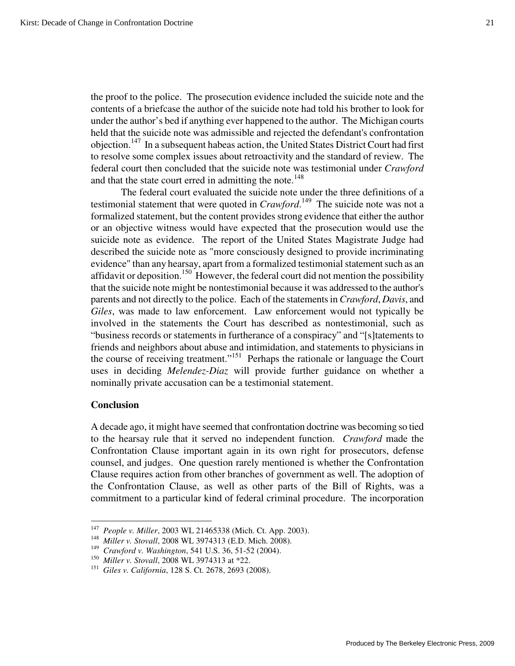the proof to the police. The prosecution evidence included the suicide note and the contents of a briefcase the author of the suicide note had told his brother to look for under the author's bed if anything ever happened to the author. The Michigan courts held that the suicide note was admissible and rejected the defendant's confrontation objection.<sup>147</sup> In a subsequent habeas action, the United States District Court had first to resolve some complex issues about retroactivity and the standard of review. The federal court then concluded that the suicide note was testimonial under *Crawford* and that the state court erred in admitting the note.<sup>148</sup>

The federal court evaluated the suicide note under the three definitions of a testimonial statement that were quoted in *Crawford*. <sup>149</sup> The suicide note was not a formalized statement, but the content provides strong evidence that either the author or an objective witness would have expected that the prosecution would use the suicide note as evidence. The report of the United States Magistrate Judge had described the suicide note as "more consciously designed to provide incriminating evidence" than any hearsay, apart from a formalized testimonial statement such as an affidavit or deposition.<sup>150</sup> However, the federal court did not mention the possibility that the suicide note might be nontestimonial because it was addressed to the author's parents and not directly to the police. Each of the statements in *Crawford*, *Davis*, and *Giles*, was made to law enforcement. Law enforcement would not typically be involved in the statements the Court has described as nontestimonial, such as "business records or statements in furtherance of a conspiracy" and "[s]tatements to friends and neighbors about abuse and intimidation, and statements to physicians in the course of receiving treatment."<sup>151</sup> Perhaps the rationale or language the Court uses in deciding *Melendez-Diaz* will provide further guidance on whether a nominally private accusation can be a testimonial statement.

#### **Conclusion**

A decade ago, it might have seemed that confrontation doctrine was becoming so tied to the hearsay rule that it served no independent function. *Crawford* made the Confrontation Clause important again in its own right for prosecutors, defense counsel, and judges. One question rarely mentioned is whether the Confrontation Clause requires action from other branches of government as well. The adoption of the Confrontation Clause, as well as other parts of the Bill of Rights, was a commitment to a particular kind of federal criminal procedure. The incorporation

 147 *People v. Miller*, 2003 WL 21465338 (Mich. Ct. App. 2003).

<sup>148</sup> *Miller v. Stovall*, 2008 WL 3974313 (E.D. Mich. 2008).

<sup>149</sup> *Crawford v. Washington*, 541 U.S. 36, 51-52 (2004).

<sup>150</sup> *Miller v. Stovall*, 2008 WL 3974313 at \*22.

<sup>151</sup> *Giles v. California*, 128 S. Ct. 2678, 2693 (2008).